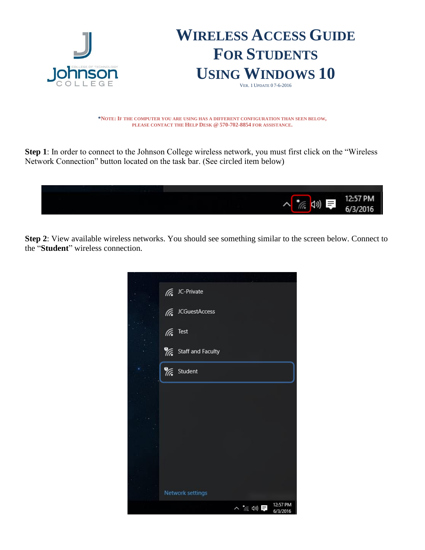

**\*NOTE: IF THE COMPUTER YOU ARE USING HAS A DIFFERENT CONFIGURATION THAN SEEN BELOW, PLEASE CONTACT THE HELP DESK @ 570-702-8854 FOR ASSISTANCE.**

**Step 1**: In order to connect to the Johnson College wireless network, you must first click on the "Wireless Network Connection" button located on the task bar. (See circled item below)



**Step 2**: View available wireless networks. You should see something similar to the screen below. Connect to the "**Student**" wireless connection.

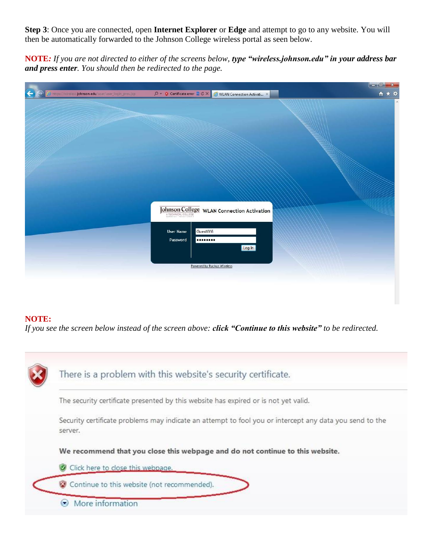**Step 3**: Once you are connected, open **Internet Explorer** or **Edge** and attempt to go to any website. You will then be automatically forwarded to the Johnson College wireless portal as seen below.

**NOTE***: If you are not directed to either of the screens below, type "wireless.johnson.edu" in your address bar and press enter. You should then be redirected to the page.*

|                                                         |                                                                     | $\begin{array}{ c c c }\n\hline\n\multicolumn{1}{ c }{\mathbf{0}} & \mathbf{x} \end{array}$ |
|---------------------------------------------------------|---------------------------------------------------------------------|---------------------------------------------------------------------------------------------|
| A https://wireless.johnson.edu/user/user_login_prov.jsp | $Q - Q$ Certificate error $Q \propto$<br>WLAN Connection Activati X | $A \star \alpha$                                                                            |
|                                                         |                                                                     | $\lambda$                                                                                   |
|                                                         |                                                                     |                                                                                             |
|                                                         |                                                                     |                                                                                             |
|                                                         |                                                                     |                                                                                             |
|                                                         |                                                                     |                                                                                             |
|                                                         |                                                                     |                                                                                             |
|                                                         |                                                                     |                                                                                             |
|                                                         |                                                                     |                                                                                             |
|                                                         |                                                                     |                                                                                             |
|                                                         |                                                                     |                                                                                             |
|                                                         |                                                                     |                                                                                             |
|                                                         |                                                                     |                                                                                             |
|                                                         |                                                                     |                                                                                             |
|                                                         | <b>Johnson College</b> WLAN Connection Activation                   |                                                                                             |
|                                                         |                                                                     |                                                                                             |
|                                                         | GuestWifi<br><b>User Name</b>                                       |                                                                                             |
|                                                         | Password<br>                                                        |                                                                                             |
|                                                         | Log In                                                              |                                                                                             |
|                                                         |                                                                     |                                                                                             |
|                                                         |                                                                     |                                                                                             |
|                                                         | Powered by Ruckus Wireless                                          |                                                                                             |
|                                                         |                                                                     |                                                                                             |

## **NOTE:**

*If you see the screen below instead of the screen above: click "Continue to this website" to be redirected.*